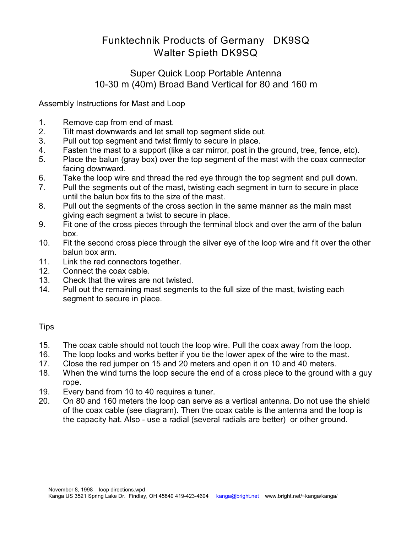## Funktechnik Products of Germany DK9SQ Walter Spieth DK9SQ

## Super Quick Loop Portable Antenna 10-30 m (40m) Broad Band Vertical for 80 and 160 m

Assembly Instructions for Mast and Loop

- 1. Remove cap from end of mast.
- 2. Tilt mast downwards and let small top segment slide out.
- 3. Pull out top segment and twist firmly to secure in place.
- 4. Fasten the mast to a support (like a car mirror, post in the ground, tree, fence, etc).
- 5. Place the balun (gray box) over the top segment of the mast with the coax connector facing downward.
- 6. Take the loop wire and thread the red eye through the top segment and pull down.
- 7. Pull the segments out of the mast, twisting each segment in turn to secure in place until the balun box fits to the size of the mast.
- 8. Pull out the segments of the cross section in the same manner as the main mast giving each segment a twist to secure in place.
- 9. Fit one of the cross pieces through the terminal block and over the arm of the balun box.
- 10. Fit the second cross piece through the silver eye of the loop wire and fit over the other balun box arm.
- 11. Link the red connectors together.
- 12. Connect the coax cable.
- 13. Check that the wires are not twisted.
- 14. Pull out the remaining mast segments to the full size of the mast, twisting each segment to secure in place.

## **Tips**

- 15. The coax cable should not touch the loop wire. Pull the coax away from the loop.
- 16. The loop looks and works better if you tie the lower apex of the wire to the mast.
- 17. Close the red jumper on 15 and 20 meters and open it on 10 and 40 meters.
- 18. When the wind turns the loop secure the end of a cross piece to the ground with a guy rope.
- 19. Every band from 10 to 40 requires a tuner.
- 20. On 80 and 160 meters the loop can serve as a vertical antenna. Do not use the shield of the coax cable (see diagram). Then the coax cable is the antenna and the loop is the capacity hat. Also - use a radial (several radials are better) or other ground.